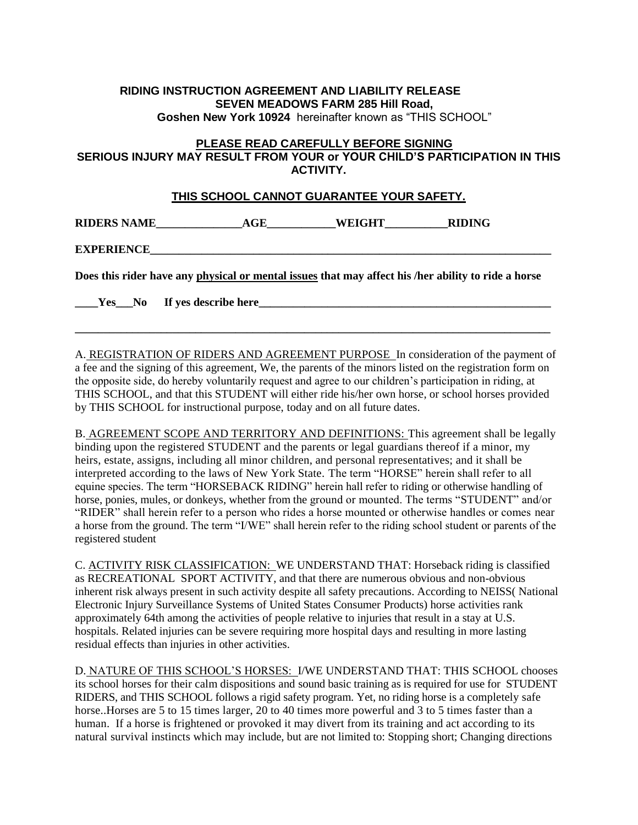## **RIDING INSTRUCTION AGREEMENT AND LIABILITY RELEASE SEVEN MEADOWS FARM 285 Hill Road,**

**Goshen New York 10924** hereinafter known as "THIS SCHOOL"

## **PLEASE READ CAREFULLY BEFORE SIGNING SERIOUS INJURY MAY RESULT FROM YOUR or YOUR CHILD'S PARTICIPATION IN THIS ACTIVITY.**

## **THIS SCHOOL CANNOT GUARANTEE YOUR SAFETY.**

**RIDERS NAME\_\_\_\_\_\_\_\_\_\_\_\_\_\_\_AGE\_\_\_\_\_\_\_\_\_\_\_\_WEIGHT\_\_\_\_\_\_\_\_\_\_\_RIDING** 

**EXPERIENCE** 

**Does this rider have any physical or mental issues that may affect his /her ability to ride a horse** 

**\_\_\_\_Yes\_\_\_No If yes describe here\_\_\_\_\_\_\_\_\_\_\_\_\_\_\_\_\_\_\_\_\_\_\_\_\_\_\_\_\_\_\_\_\_\_\_\_\_\_\_\_\_\_\_\_\_\_\_\_\_\_\_**

A. REGISTRATION OF RIDERS AND AGREEMENT PURPOSE In consideration of the payment of a fee and the signing of this agreement, We, the parents of the minors listed on the registration form on the opposite side, do hereby voluntarily request and agree to our children's participation in riding, at THIS SCHOOL, and that this STUDENT will either ride his/her own horse, or school horses provided by THIS SCHOOL for instructional purpose, today and on all future dates.

**\_\_\_\_\_\_\_\_\_\_\_\_\_\_\_\_\_\_\_\_\_\_\_\_\_\_\_\_\_\_\_\_\_\_\_\_\_\_\_\_\_\_\_\_\_\_\_\_\_\_\_\_\_\_\_\_\_\_\_\_\_\_\_\_\_\_\_\_\_\_\_\_\_\_\_\_\_\_\_\_\_\_\_**

B. AGREEMENT SCOPE AND TERRITORY AND DEFINITIONS: This agreement shall be legally binding upon the registered STUDENT and the parents or legal guardians thereof if a minor, my heirs, estate, assigns, including all minor children, and personal representatives; and it shall be interpreted according to the laws of New York State. The term "HORSE" herein shall refer to all equine species. The term "HORSEBACK RIDING" herein hall refer to riding or otherwise handling of horse, ponies, mules, or donkeys, whether from the ground or mounted. The terms "STUDENT" and/or "RIDER" shall herein refer to a person who rides a horse mounted or otherwise handles or comes near a horse from the ground. The term "I/WE" shall herein refer to the riding school student or parents of the registered student

C. ACTIVITY RISK CLASSIFICATION: WE UNDERSTAND THAT: Horseback riding is classified as RECREATIONAL SPORT ACTIVITY, and that there are numerous obvious and non-obvious inherent risk always present in such activity despite all safety precautions. According to NEISS( National Electronic Injury Surveillance Systems of United States Consumer Products) horse activities rank approximately 64th among the activities of people relative to injuries that result in a stay at U.S. hospitals. Related injuries can be severe requiring more hospital days and resulting in more lasting residual effects than injuries in other activities.

D. NATURE OF THIS SCHOOL'S HORSES: I/WE UNDERSTAND THAT: THIS SCHOOL chooses its school horses for their calm dispositions and sound basic training as is required for use for STUDENT RIDERS, and THIS SCHOOL follows a rigid safety program. Yet, no riding horse is a completely safe horse..Horses are 5 to 15 times larger, 20 to 40 times more powerful and 3 to 5 times faster than a human. If a horse is frightened or provoked it may divert from its training and act according to its natural survival instincts which may include, but are not limited to: Stopping short; Changing directions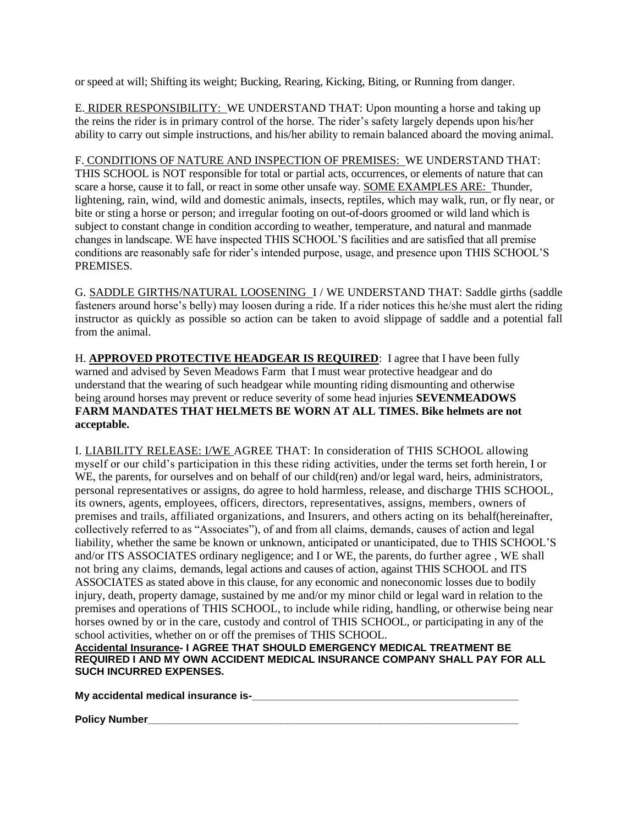or speed at will; Shifting its weight; Bucking, Rearing, Kicking, Biting, or Running from danger.

E. RIDER RESPONSIBILITY: WE UNDERSTAND THAT: Upon mounting a horse and taking up the reins the rider is in primary control of the horse. The rider's safety largely depends upon his/her ability to carry out simple instructions, and his/her ability to remain balanced aboard the moving animal.

## F. CONDITIONS OF NATURE AND INSPECTION OF PREMISES: WE UNDERSTAND THAT:

THIS SCHOOL is NOT responsible for total or partial acts, occurrences, or elements of nature that can scare a horse, cause it to fall, or react in some other unsafe way. SOME EXAMPLES ARE: Thunder, lightening, rain, wind, wild and domestic animals, insects, reptiles, which may walk, run, or fly near, or bite or sting a horse or person; and irregular footing on out-of-doors groomed or wild land which is subject to constant change in condition according to weather, temperature, and natural and manmade changes in landscape. WE have inspected THIS SCHOOL'S facilities and are satisfied that all premise conditions are reasonably safe for rider's intended purpose, usage, and presence upon THIS SCHOOL'S PREMISES.

G. SADDLE GIRTHS/NATURAL LOOSENING I / WE UNDERSTAND THAT: Saddle girths (saddle fasteners around horse's belly) may loosen during a ride. If a rider notices this he/she must alert the riding instructor as quickly as possible so action can be taken to avoid slippage of saddle and a potential fall from the animal.

H. **APPROVED PROTECTIVE HEADGEAR IS REQUIRED**: I agree that I have been fully warned and advised by Seven Meadows Farm that I must wear protective headgear and do understand that the wearing of such headgear while mounting riding dismounting and otherwise being around horses may prevent or reduce severity of some head injuries **SEVENMEADOWS FARM MANDATES THAT HELMETS BE WORN AT ALL TIMES. Bike helmets are not acceptable.**

I. LIABILITY RELEASE: I/WE AGREE THAT: In consideration of THIS SCHOOL allowing myself or our child's participation in this these riding activities, under the terms set forth herein, I or WE, the parents, for ourselves and on behalf of our child(ren) and/or legal ward, heirs, administrators, personal representatives or assigns, do agree to hold harmless, release, and discharge THIS SCHOOL, its owners, agents, employees, officers, directors, representatives, assigns, members, owners of premises and trails, affiliated organizations, and Insurers, and others acting on its behalf(hereinafter, collectively referred to as "Associates"), of and from all claims, demands, causes of action and legal liability, whether the same be known or unknown, anticipated or unanticipated, due to THIS SCHOOL'S and/or ITS ASSOCIATES ordinary negligence; and I or WE, the parents, do further agree , WE shall not bring any claims, demands, legal actions and causes of action, against THIS SCHOOL and ITS ASSOCIATES as stated above in this clause, for any economic and noneconomic losses due to bodily injury, death, property damage, sustained by me and/or my minor child or legal ward in relation to the premises and operations of THIS SCHOOL, to include while riding, handling, or otherwise being near horses owned by or in the care, custody and control of THIS SCHOOL, or participating in any of the school activities, whether on or off the premises of THIS SCHOOL.

**Accidental Insurance- I AGREE THAT SHOULD EMERGENCY MEDICAL TREATMENT BE REQUIRED I AND MY OWN ACCIDENT MEDICAL INSURANCE COMPANY SHALL PAY FOR ALL SUCH INCURRED EXPENSES.** 

**My accidental medical insurance is-\_\_\_\_\_\_\_\_\_\_\_\_\_\_\_\_\_\_\_\_\_\_\_\_\_\_\_\_\_\_\_\_\_\_\_\_\_\_\_\_\_\_\_\_\_\_**

**Policy Number\_\_\_\_\_\_\_\_\_\_\_\_\_\_\_\_\_\_\_\_\_\_\_\_\_\_\_\_\_\_\_\_\_\_\_\_\_\_\_\_\_\_\_\_\_\_\_\_\_\_\_\_\_\_\_\_\_\_\_\_\_\_\_\_**